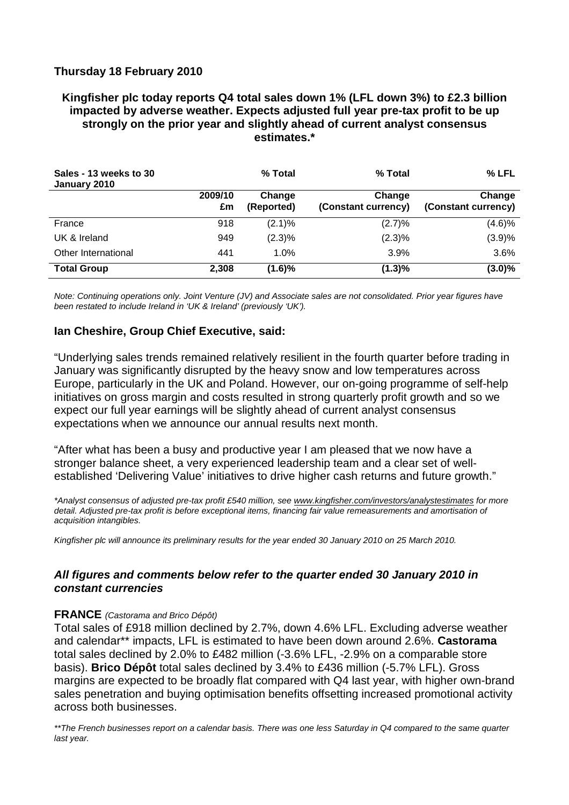## **Thursday 18 February 2010**

### **Kingfisher plc today reports Q4 total sales down 1% (LFL down 3%) to £2.3 billion impacted by adverse weather. Expects adjusted full year pre-tax profit to be up strongly on the prior year and slightly ahead of current analyst consensus estimates.\***

| Sales - 13 weeks to 30<br>January 2010 |               | % Total              | % Total                       | % LFL                         |
|----------------------------------------|---------------|----------------------|-------------------------------|-------------------------------|
|                                        | 2009/10<br>£m | Change<br>(Reported) | Change<br>(Constant currency) | Change<br>(Constant currency) |
| France                                 | 918           | $(2.1)\%$            | (2.7)%                        | (4.6)%                        |
| UK & Ireland                           | 949           | $(2.3)\%$            | (2.3)%                        | (3.9)%                        |
| Other International                    | 441           | 1.0%                 | 3.9%                          | 3.6%                          |
| <b>Total Group</b>                     | 2,308         | (1.6)%               | $(1.3)\%$                     | $(3.0)\%$                     |

Note: Continuing operations only. Joint Venture (JV) and Associate sales are not consolidated. Prior year figures have been restated to include Ireland in 'UK & Ireland' (previously 'UK').

### **Ian Cheshire, Group Chief Executive, said:**

"Underlying sales trends remained relatively resilient in the fourth quarter before trading in January was significantly disrupted by the heavy snow and low temperatures across Europe, particularly in the UK and Poland. However, our on-going programme of self-help initiatives on gross margin and costs resulted in strong quarterly profit growth and so we expect our full year earnings will be slightly ahead of current analyst consensus expectations when we announce our annual results next month.

"After what has been a busy and productive year I am pleased that we now have a stronger balance sheet, a very experienced leadership team and a clear set of wellestablished 'Delivering Value' initiatives to drive higher cash returns and future growth."

\*Analyst consensus of adjusted pre-tax profit £540 million, see www.kingfisher.com/investors/analystestimates for more detail. Adjusted pre-tax profit is before exceptional items, financing fair value remeasurements and amortisation of acquisition intangibles.

Kingfisher plc will announce its preliminary results for the year ended 30 January 2010 on 25 March 2010.

### **All figures and comments below refer to the quarter ended 30 January 2010 in constant currencies**

#### **FRANCE** (Castorama and Brico Dépôt)

Total sales of £918 million declined by 2.7%, down 4.6% LFL. Excluding adverse weather and calendar\*\* impacts, LFL is estimated to have been down around 2.6%. **Castorama**  total sales declined by 2.0% to £482 million (-3.6% LFL, -2.9% on a comparable store basis). **Brico Dépôt** total sales declined by 3.4% to £436 million (-5.7% LFL). Gross margins are expected to be broadly flat compared with Q4 last year, with higher own-brand sales penetration and buying optimisation benefits offsetting increased promotional activity across both businesses.

\*\*The French businesses report on a calendar basis. There was one less Saturday in Q4 compared to the same quarter last year.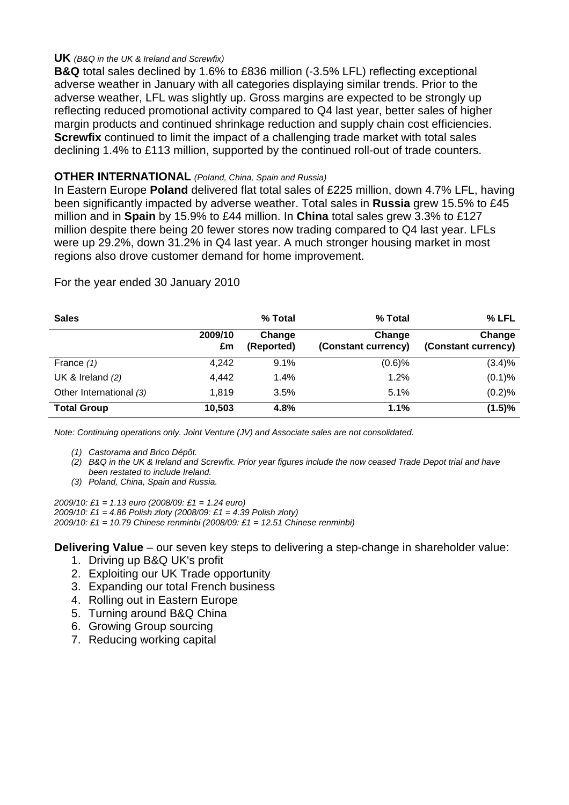#### **UK** (B&Q in the UK & Ireland and Screwfix)

**B&Q** total sales declined by 1.6% to £836 million (-3.5% LFL) reflecting exceptional adverse weather in January with all categories displaying similar trends. Prior to the adverse weather, LFL was slightly up. Gross margins are expected to be strongly up reflecting reduced promotional activity compared to Q4 last year, better sales of higher margin products and continued shrinkage reduction and supply chain cost efficiencies. **Screwfix** continued to limit the impact of a challenging trade market with total sales declining 1.4% to £113 million, supported by the continued roll-out of trade counters.

#### **OTHER INTERNATIONAL** (Poland, China, Spain and Russia)

In Eastern Europe **Poland** delivered flat total sales of £225 million, down 4.7% LFL, having been significantly impacted by adverse weather. Total sales in **Russia** grew 15.5% to £45 million and in **Spain** by 15.9% to £44 million. In **China** total sales grew 3.3% to £127 million despite there being 20 fewer stores now trading compared to Q4 last year. LFLs were up 29.2%, down 31.2% in Q4 last year. A much stronger housing market in most regions also drove customer demand for home improvement.

| <b>Sales</b>            |               | % Total              | % Total                       | % LFL                         |
|-------------------------|---------------|----------------------|-------------------------------|-------------------------------|
|                         | 2009/10<br>£m | Change<br>(Reported) | Change<br>(Constant currency) | Change<br>(Constant currency) |
| France (1)              | 4.242         | 9.1%                 | $(0.6)$ %                     | (3.4)%                        |
| UK & Ireland $(2)$      | 4,442         | 1.4%                 | 1.2%                          | (0.1)%                        |
| Other International (3) | 1.819         | 3.5%                 | 5.1%                          | (0.2)%                        |
| <b>Total Group</b>      | 10,503        | 4.8%                 | 1.1%                          | (1.5)%                        |

For the year ended 30 January 2010

Note: Continuing operations only. Joint Venture (JV) and Associate sales are not consolidated.

- (1) Castorama and Brico Dépôt.
- (2) B&Q in the UK & Ireland and Screwfix. Prior year figures include the now ceased Trade Depot trial and have been restated to include Ireland.
- (3) Poland, China, Spain and Russia.

2009/10: £1 = 1.13 euro (2008/09: £1 = 1.24 euro) 2009/10: £1 = 4.86 Polish zloty (2008/09: £1 = 4.39 Polish zloty) 2009/10: £1 = 10.79 Chinese renminbi (2008/09: £1 = 12.51 Chinese renminbi)

**Delivering Value** – our seven key steps to delivering a step-change in shareholder value:

- 1. Driving up B&Q UK's profit
- 2. Exploiting our UK Trade opportunity
- 3. Expanding our total French business
- 4. Rolling out in Eastern Europe
- 5. Turning around B&Q China
- 6. Growing Group sourcing
- 7. Reducing working capital